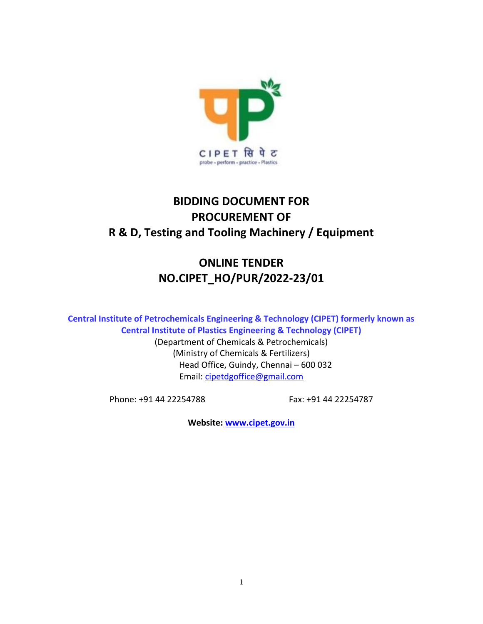

# **BIDDING DOCUMENT FOR PROCUREMENT OF R & D, Testing and Tooling Machinery / Equipment**

# **ONLINE TENDER NO.CIPET\_HO/PUR/2022-23/01**

**Central Institute of Petrochemicals Engineering & Technology (CIPET) formerly known as Central Institute of Plastics Engineering & Technology (CIPET)** 

> (Department of Chemicals & Petrochemicals) (Ministry of Chemicals & Fertilizers) Head Office, Guindy, Chennai – 600 032 Email: [cipetdgoffice@gmail.com](mailto:cipetdgoffice@gmail.com)

Phone: +91 44 22254788 Fax: +91 44 22254787

**Website: [www.cipet.gov.in](http://www.cipet.gov.in/)**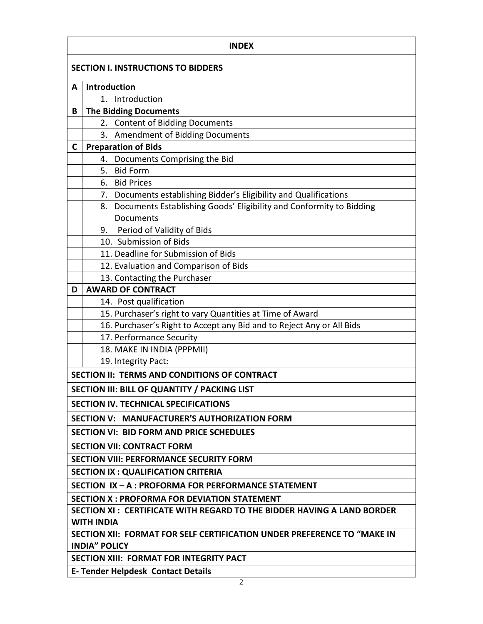|                                           | <b>INDEX</b>                                                                                |  |  |  |  |  |  |
|-------------------------------------------|---------------------------------------------------------------------------------------------|--|--|--|--|--|--|
| <b>SECTION I. INSTRUCTIONS TO BIDDERS</b> |                                                                                             |  |  |  |  |  |  |
| A                                         | Introduction                                                                                |  |  |  |  |  |  |
|                                           | 1. Introduction                                                                             |  |  |  |  |  |  |
| B                                         | <b>The Bidding Documents</b>                                                                |  |  |  |  |  |  |
|                                           | <b>Content of Bidding Documents</b><br>2.                                                   |  |  |  |  |  |  |
|                                           | <b>Amendment of Bidding Documents</b><br>3.                                                 |  |  |  |  |  |  |
| C                                         | <b>Preparation of Bids</b>                                                                  |  |  |  |  |  |  |
|                                           | 4. Documents Comprising the Bid                                                             |  |  |  |  |  |  |
|                                           | <b>Bid Form</b><br>5.                                                                       |  |  |  |  |  |  |
|                                           | <b>Bid Prices</b><br>6.                                                                     |  |  |  |  |  |  |
|                                           | 7. Documents establishing Bidder's Eligibility and Qualifications                           |  |  |  |  |  |  |
|                                           | 8. Documents Establishing Goods' Eligibility and Conformity to Bidding                      |  |  |  |  |  |  |
|                                           | Documents                                                                                   |  |  |  |  |  |  |
|                                           | Period of Validity of Bids<br>9.                                                            |  |  |  |  |  |  |
|                                           | 10. Submission of Bids                                                                      |  |  |  |  |  |  |
|                                           | 11. Deadline for Submission of Bids                                                         |  |  |  |  |  |  |
|                                           | 12. Evaluation and Comparison of Bids                                                       |  |  |  |  |  |  |
|                                           | 13. Contacting the Purchaser                                                                |  |  |  |  |  |  |
| D                                         | <b>AWARD OF CONTRACT</b>                                                                    |  |  |  |  |  |  |
|                                           | 14. Post qualification                                                                      |  |  |  |  |  |  |
|                                           | 15. Purchaser's right to vary Quantities at Time of Award                                   |  |  |  |  |  |  |
|                                           | 16. Purchaser's Right to Accept any Bid and to Reject Any or All Bids                       |  |  |  |  |  |  |
|                                           | 17. Performance Security                                                                    |  |  |  |  |  |  |
|                                           | 18. MAKE IN INDIA (PPPMII)                                                                  |  |  |  |  |  |  |
|                                           | 19. Integrity Pact:                                                                         |  |  |  |  |  |  |
|                                           | SECTION II: TERMS AND CONDITIONS OF CONTRACT                                                |  |  |  |  |  |  |
|                                           | SECTION III: BILL OF QUANTITY / PACKING LIST                                                |  |  |  |  |  |  |
|                                           | <b>SECTION IV. TECHNICAL SPECIFICATIONS</b>                                                 |  |  |  |  |  |  |
|                                           | SECTION V: MANUFACTURER'S AUTHORIZATION FORM                                                |  |  |  |  |  |  |
|                                           | SECTION VI: BID FORM AND PRICE SCHEDULES                                                    |  |  |  |  |  |  |
|                                           | <b>SECTION VII: CONTRACT FORM</b>                                                           |  |  |  |  |  |  |
|                                           | <b>SECTION VIII: PERFORMANCE SECURITY FORM</b>                                              |  |  |  |  |  |  |
|                                           | <b>SECTION IX: QUALIFICATION CRITERIA</b>                                                   |  |  |  |  |  |  |
|                                           | SECTION IX - A : PROFORMA FOR PERFORMANCE STATEMENT                                         |  |  |  |  |  |  |
|                                           | <b>SECTION X: PROFORMA FOR DEVIATION STATEMENT</b>                                          |  |  |  |  |  |  |
|                                           | SECTION XI: CERTIFICATE WITH REGARD TO THE BIDDER HAVING A LAND BORDER<br><b>WITH INDIA</b> |  |  |  |  |  |  |
|                                           | SECTION XII: FORMAT FOR SELF CERTIFICATION UNDER PREFERENCE TO "MAKE IN                     |  |  |  |  |  |  |
|                                           | <b>INDIA" POLICY</b>                                                                        |  |  |  |  |  |  |
|                                           | <b>SECTION XIII: FORMAT FOR INTEGRITY PACT</b>                                              |  |  |  |  |  |  |
|                                           | E-Tender Helpdesk Contact Details                                                           |  |  |  |  |  |  |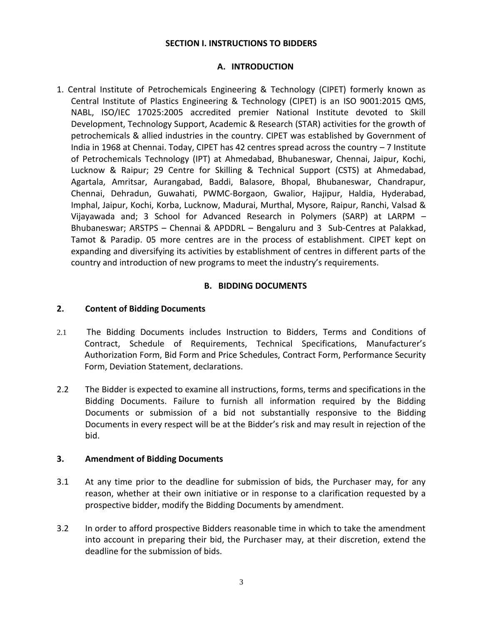### **SECTION I. INSTRUCTIONS TO BIDDERS**

### **A. INTRODUCTION**

1. Central Institute of Petrochemicals Engineering & Technology (CIPET) formerly known as Central Institute of Plastics Engineering & Technology (CIPET) is an ISO 9001:2015 QMS, NABL, ISO/IEC 17025:2005 accredited premier National Institute devoted to Skill Development, Technology Support, Academic & Research (STAR) activities for the growth of petrochemicals & allied industries in the country. CIPET was established by Government of India in 1968 at Chennai. Today, CIPET has 42 centres spread across the country – 7 Institute of Petrochemicals Technology (IPT) at Ahmedabad, Bhubaneswar, Chennai, Jaipur, Kochi, Lucknow & Raipur; 29 Centre for Skilling & Technical Support (CSTS) at Ahmedabad, Agartala, Amritsar, Aurangabad, Baddi, Balasore, Bhopal, Bhubaneswar, Chandrapur, Chennai, Dehradun, Guwahati, PWMC-Borgaon, Gwalior, Hajipur, Haldia, Hyderabad, Imphal, Jaipur, Kochi, Korba, Lucknow, Madurai, Murthal, Mysore, Raipur, Ranchi, Valsad & Vijayawada and; 3 School for Advanced Research in Polymers (SARP) at LARPM – Bhubaneswar; ARSTPS – Chennai & APDDRL – Bengaluru and 3 Sub-Centres at Palakkad, Tamot & Paradip. 05 more centres are in the process of establishment. CIPET kept on expanding and diversifying its activities by establishment of centres in different parts of the country and introduction of new programs to meet the industry's requirements.

## **B. BIDDING DOCUMENTS**

#### **2. Content of Bidding Documents**

- 2.1 The Bidding Documents includes Instruction to Bidders, Terms and Conditions of Contract, Schedule of Requirements, Technical Specifications, Manufacturer's Authorization Form, Bid Form and Price Schedules, Contract Form, Performance Security Form, Deviation Statement, declarations.
- 2.2 The Bidder is expected to examine all instructions, forms, terms and specifications in the Bidding Documents. Failure to furnish all information required by the Bidding Documents or submission of a bid not substantially responsive to the Bidding Documents in every respect will be at the Bidder's risk and may result in rejection of the bid.

#### **3. Amendment of Bidding Documents**

- 3.1 At any time prior to the deadline for submission of bids, the Purchaser may, for any reason, whether at their own initiative or in response to a clarification requested by a prospective bidder, modify the Bidding Documents by amendment.
- 3.2 In order to afford prospective Bidders reasonable time in which to take the amendment into account in preparing their bid, the Purchaser may, at their discretion, extend the deadline for the submission of bids.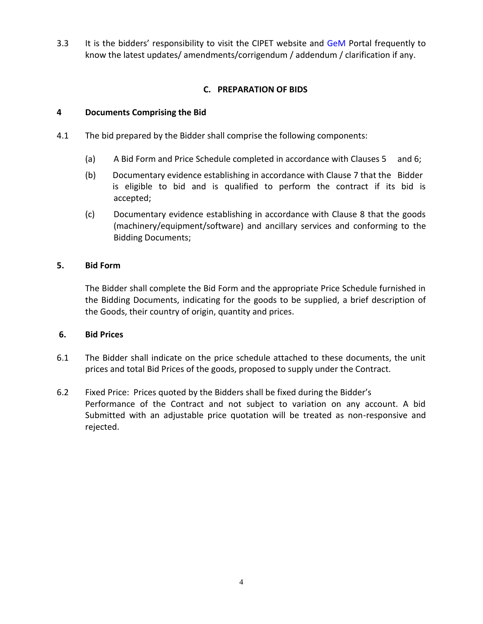3.3 It is the bidders' responsibility to visit the CIPET website and [GeM](http://www.tenderwizard.com/CIPET) Portal frequently to know the latest updates/ amendments/corrigendum / addendum / clarification if any.

# **C. PREPARATION OF BIDS**

### **4 Documents Comprising the Bid**

- 4.1 The bid prepared by the Bidder shall comprise the following components:
	- (a) A Bid Form and Price Schedule completed in accordance with Clauses 5 and 6;
	- (b) Documentary evidence establishing in accordance with Clause 7 that the Bidder is eligible to bid and is qualified to perform the contract if its bid is accepted;
	- (c) Documentary evidence establishing in accordance with Clause 8 that the goods (machinery/equipment/software) and ancillary services and conforming to the Bidding Documents;

### **5. Bid Form**

The Bidder shall complete the Bid Form and the appropriate Price Schedule furnished in the Bidding Documents, indicating for the goods to be supplied, a brief description of the Goods, their country of origin, quantity and prices.

### **6. Bid Prices**

- 6.1 The Bidder shall indicate on the price schedule attached to these documents, the unit prices and total Bid Prices of the goods, proposed to supply under the Contract.
- 6.2 Fixed Price: Prices quoted by the Bidders shall be fixed during the Bidder's Performance of the Contract and not subject to variation on any account. A bid Submitted with an adjustable price quotation will be treated as non-responsive and rejected.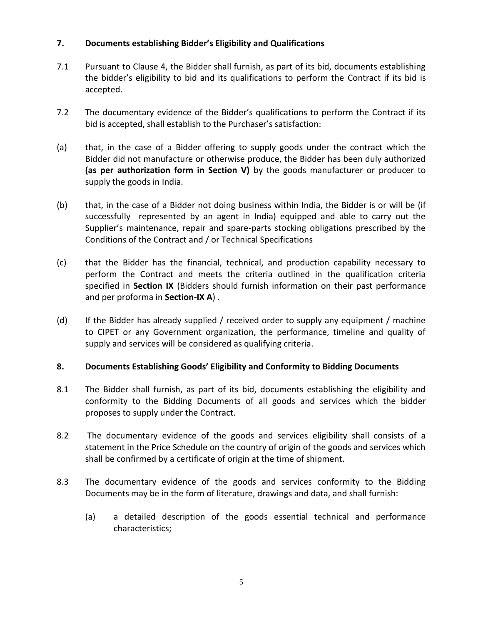# **7. Documents establishing Bidder's Eligibility and Qualifications**

- 7.1 Pursuant to Clause 4, the Bidder shall furnish, as part of its bid, documents establishing the bidder's eligibility to bid and its qualifications to perform the Contract if its bid is accepted.
- 7.2 The documentary evidence of the Bidder's qualifications to perform the Contract if its bid is accepted, shall establish to the Purchaser's satisfaction:
- (a) that, in the case of a Bidder offering to supply goods under the contract which the Bidder did not manufacture or otherwise produce, the Bidder has been duly authorized **(as per authorization form in Section V)** by the goods manufacturer or producer to supply the goods in India.
- (b) that, in the case of a Bidder not doing business within India, the Bidder is or will be (if successfully represented by an agent in India) equipped and able to carry out the Supplier's maintenance, repair and spare-parts stocking obligations prescribed by the Conditions of the Contract and / or Technical Specifications
- (c) that the Bidder has the financial, technical, and production capability necessary to perform the Contract and meets the criteria outlined in the qualification criteria specified in **Section IX** (Bidders should furnish information on their past performance and per proforma in **Section-IX A**) .
- (d) If the Bidder has already supplied / received order to supply any equipment / machine to CIPET or any Government organization, the performance, timeline and quality of supply and services will be considered as qualifying criteria.

# **8. Documents Establishing Goods' Eligibility and Conformity to Bidding Documents**

- 8.1 The Bidder shall furnish, as part of its bid, documents establishing the eligibility and conformity to the Bidding Documents of all goods and services which the bidder proposes to supply under the Contract.
- 8.2 The documentary evidence of the goods and services eligibility shall consists of a statement in the Price Schedule on the country of origin of the goods and services which shall be confirmed by a certificate of origin at the time of shipment.
- 8.3 The documentary evidence of the goods and services conformity to the Bidding Documents may be in the form of literature, drawings and data, and shall furnish:
	- (a) a detailed description of the goods essential technical and performance characteristics;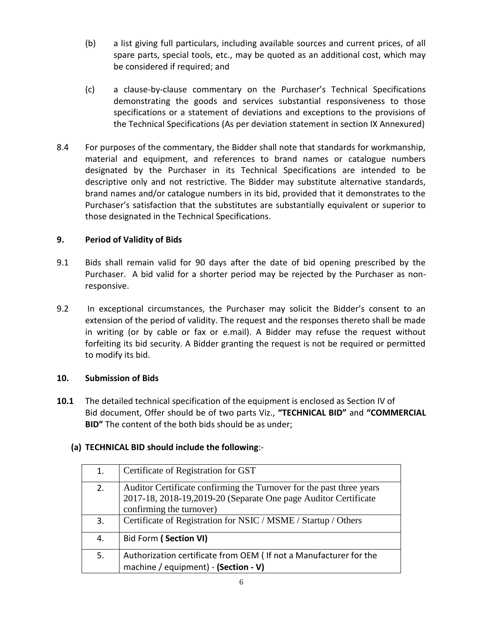- (b) a list giving full particulars, including available sources and current prices, of all spare parts, special tools, etc., may be quoted as an additional cost, which may be considered if required; and
- (c) a clause-by-clause commentary on the Purchaser's Technical Specifications demonstrating the goods and services substantial responsiveness to those specifications or a statement of deviations and exceptions to the provisions of the Technical Specifications (As per deviation statement in section IX Annexured)
- 8.4 For purposes of the commentary, the Bidder shall note that standards for workmanship, material and equipment, and references to brand names or catalogue numbers designated by the Purchaser in its Technical Specifications are intended to be descriptive only and not restrictive. The Bidder may substitute alternative standards, brand names and/or catalogue numbers in its bid, provided that it demonstrates to the Purchaser's satisfaction that the substitutes are substantially equivalent or superior to those designated in the Technical Specifications.

# **9. Period of Validity of Bids**

- 9.1 Bids shall remain valid for 90 days after the date of bid opening prescribed by the Purchaser. A bid valid for a shorter period may be rejected by the Purchaser as nonresponsive.
- 9.2 In exceptional circumstances, the Purchaser may solicit the Bidder's consent to an extension of the period of validity. The request and the responses thereto shall be made in writing (or by cable or fax or e.mail). A Bidder may refuse the request without forfeiting its bid security. A Bidder granting the request is not be required or permitted to modify its bid.

# **10. Submission of Bids**

**10.1** The detailed technical specification of the equipment is enclosed as Section IV of Bid document, Offer should be of two parts Viz., **"TECHNICAL BID"** and **"COMMERCIAL BID"** The content of the both bids should be as under;

# **(a) TECHNICAL BID should include the following**:-

| 1. | Certificate of Registration for GST                                                                                                                                  |
|----|----------------------------------------------------------------------------------------------------------------------------------------------------------------------|
| 2. | Auditor Certificate confirming the Turnover for the past three years<br>2017-18, 2018-19, 2019-20 (Separate One page Auditor Certificate<br>confirming the turnover) |
|    |                                                                                                                                                                      |
| 3. | Certificate of Registration for NSIC / MSME / Startup / Others                                                                                                       |
| 4. | Bid Form (Section VI)                                                                                                                                                |
| 5. | Authorization certificate from OEM (If not a Manufacturer for the<br>machine / equipment) - (Section - V)                                                            |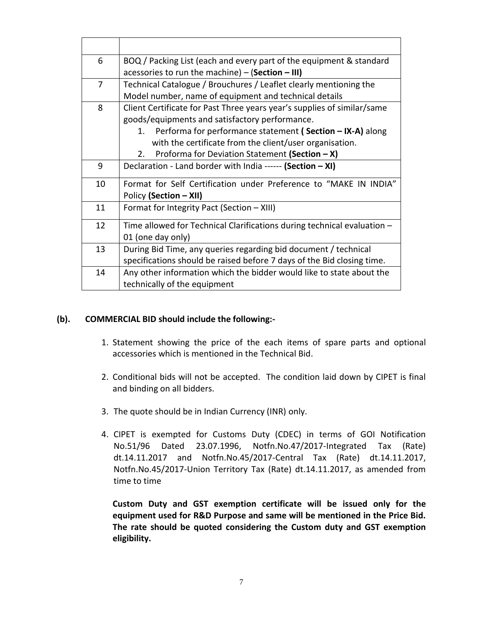| 6  | BOQ / Packing List (each and every part of the equipment & standard     |
|----|-------------------------------------------------------------------------|
|    | acessories to run the machine) $-$ (Section $-$ III)                    |
| 7  | Technical Catalogue / Brouchures / Leaflet clearly mentioning the       |
|    | Model number, name of equipment and technical details                   |
| 8  | Client Certificate for Past Three years year's supplies of similar/same |
|    | goods/equipments and satisfactory performance.                          |
|    | Performa for performance statement (Section - IX-A) along<br>$1_{-}$    |
|    | with the certificate from the client/user organisation.                 |
|    | Proforma for Deviation Statement (Section - X)<br>2.                    |
| 9  | Declaration - Land border with India ------ (Section - XI)              |
| 10 | Format for Self Certification under Preference to "MAKE IN INDIA"       |
|    | Policy (Section - XII)                                                  |
| 11 | Format for Integrity Pact (Section - XIII)                              |
| 12 | Time allowed for Technical Clarifications during technical evaluation - |
|    | 01 (one day only)                                                       |
| 13 | During Bid Time, any queries regarding bid document / technical         |
|    | specifications should be raised before 7 days of the Bid closing time.  |
| 14 | Any other information which the bidder would like to state about the    |
|    | technically of the equipment                                            |

### **(b). COMMERCIAL BID should include the following:-**

- 1. Statement showing the price of the each items of spare parts and optional accessories which is mentioned in the Technical Bid.
- 2. Conditional bids will not be accepted. The condition laid down by CIPET is final and binding on all bidders.
- 3. The quote should be in Indian Currency (INR) only.
- 4. CIPET is exempted for Customs Duty (CDEC) in terms of GOI Notification No.51/96 Dated 23.07.1996, Notfn.No.47/2017-Integrated Tax (Rate) dt.14.11.2017 and Notfn.No.45/2017-Central Tax (Rate) dt.14.11.2017, Notfn.No.45/2017-Union Territory Tax (Rate) dt.14.11.2017, as amended from time to time

**Custom Duty and GST exemption certificate will be issued only for the equipment used for R&D Purpose and same will be mentioned in the Price Bid. The rate should be quoted considering the Custom duty and GST exemption eligibility.**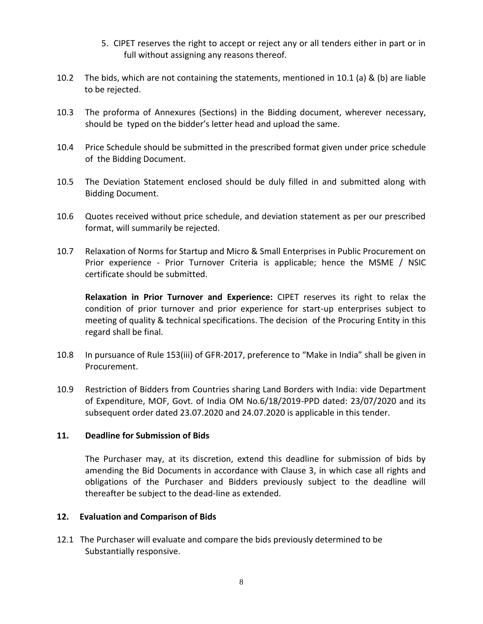- 5. CIPET reserves the right to accept or reject any or all tenders either in part or in full without assigning any reasons thereof.
- 10.2 The bids, which are not containing the statements, mentioned in 10.1 (a) & (b) are liable to be rejected.
- 10.3 The proforma of Annexures (Sections) in the Bidding document, wherever necessary, should be typed on the bidder's letter head and upload the same.
- 10.4 Price Schedule should be submitted in the prescribed format given under price schedule of the Bidding Document.
- 10.5 The Deviation Statement enclosed should be duly filled in and submitted along with Bidding Document.
- 10.6 Quotes received without price schedule, and deviation statement as per our prescribed format, will summarily be rejected.
- 10.7 Relaxation of Norms for Startup and Micro & Small Enterprises in Public Procurement on Prior experience - Prior Turnover Criteria is applicable; hence the MSME / NSIC certificate should be submitted.

**Relaxation in Prior Turnover and Experience:** CIPET reserves its right to relax the condition of prior turnover and prior experience for start-up enterprises subject to meeting of quality & technical specifications. The decision of the Procuring Entity in this regard shall be final.

- 10.8 In pursuance of Rule 153(iii) of GFR-2017, preference to "Make in India" shall be given in Procurement.
- 10.9 Restriction of Bidders from Countries sharing Land Borders with India: vide Department of Expenditure, MOF, Govt. of India OM No.6/18/2019-PPD dated: 23/07/2020 and its subsequent order dated 23.07.2020 and 24.07.2020 is applicable in this tender.

### **11. Deadline for Submission of Bids**

The Purchaser may, at its discretion, extend this deadline for submission of bids by amending the Bid Documents in accordance with Clause 3, in which case all rights and obligations of the Purchaser and Bidders previously subject to the deadline will thereafter be subject to the dead-line as extended.

### **12. Evaluation and Comparison of Bids**

12.1 The Purchaser will evaluate and compare the bids previously determined to be Substantially responsive.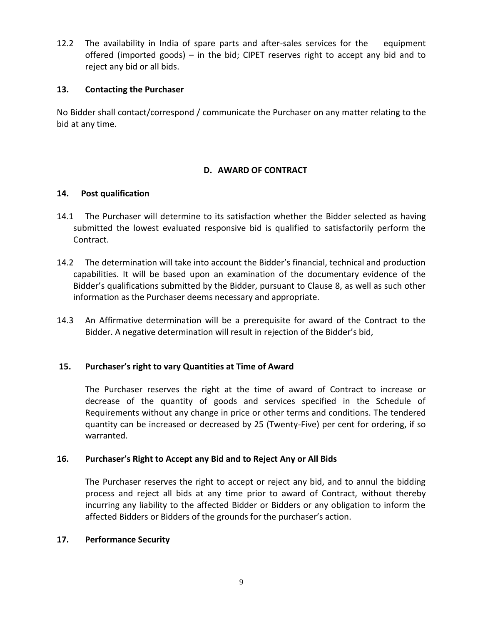12.2 The availability in India of spare parts and after-sales services for the equipment offered (imported goods) – in the bid; CIPET reserves right to accept any bid and to reject any bid or all bids.

## **13. Contacting the Purchaser**

No Bidder shall contact/correspond / communicate the Purchaser on any matter relating to the bid at any time.

# **D. AWARD OF CONTRACT**

## **14. Post qualification**

- 14.1 The Purchaser will determine to its satisfaction whether the Bidder selected as having submitted the lowest evaluated responsive bid is qualified to satisfactorily perform the Contract.
- 14.2 The determination will take into account the Bidder's financial, technical and production capabilities. It will be based upon an examination of the documentary evidence of the Bidder's qualifications submitted by the Bidder, pursuant to Clause 8, as well as such other information as the Purchaser deems necessary and appropriate.
- 14.3 An Affirmative determination will be a prerequisite for award of the Contract to the Bidder. A negative determination will result in rejection of the Bidder's bid,

# **15. Purchaser's right to vary Quantities at Time of Award**

The Purchaser reserves the right at the time of award of Contract to increase or decrease of the quantity of goods and services specified in the Schedule of Requirements without any change in price or other terms and conditions. The tendered quantity can be increased or decreased by 25 (Twenty-Five) per cent for ordering, if so warranted.

# **16. Purchaser's Right to Accept any Bid and to Reject Any or All Bids**

The Purchaser reserves the right to accept or reject any bid, and to annul the bidding process and reject all bids at any time prior to award of Contract, without thereby incurring any liability to the affected Bidder or Bidders or any obligation to inform the affected Bidders or Bidders of the grounds for the purchaser's action.

### **17. Performance Security**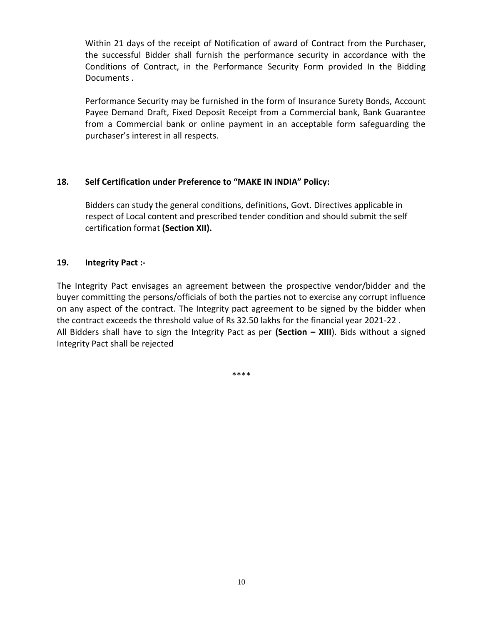Within 21 days of the receipt of Notification of award of Contract from the Purchaser, the successful Bidder shall furnish the performance security in accordance with the Conditions of Contract, in the Performance Security Form provided In the Bidding Documents .

Performance Security may be furnished in the form of Insurance Surety Bonds, Account Payee Demand Draft, Fixed Deposit Receipt from a Commercial bank, Bank Guarantee from a Commercial bank or online payment in an acceptable form safeguarding the purchaser's interest in all respects.

## **18. Self Certification under Preference to "MAKE IN INDIA" Policy:**

Bidders can study the general conditions, definitions, Govt. Directives applicable in respect of Local content and prescribed tender condition and should submit the self certification format **(Section XII).**

## **19. Integrity Pact :-**

The Integrity Pact envisages an agreement between the prospective vendor/bidder and the buyer committing the persons/officials of both the parties not to exercise any corrupt influence on any aspect of the contract. The Integrity pact agreement to be signed by the bidder when the contract exceeds the threshold value of Rs 32.50 lakhs for the financial year 2021-22 . All Bidders shall have to sign the Integrity Pact as per **(Section – XIII**). Bids without a signed Integrity Pact shall be rejected

\*\*\*\*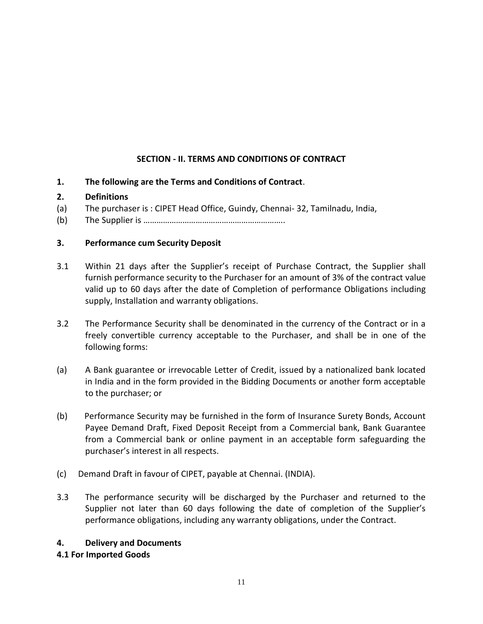# **SECTION - II. TERMS AND CONDITIONS OF CONTRACT**

**1. The following are the Terms and Conditions of Contract**.

# **2. Definitions**

- (a) The purchaser is : CIPET Head Office, Guindy, Chennai- 32, Tamilnadu, India,
- (b) The Supplier is ………………………………………………………..

# **3. Performance cum Security Deposit**

- 3.1 Within 21 days after the Supplier's receipt of Purchase Contract, the Supplier shall furnish performance security to the Purchaser for an amount of 3% of the contract value valid up to 60 days after the date of Completion of performance Obligations including supply, Installation and warranty obligations.
- 3.2 The Performance Security shall be denominated in the currency of the Contract or in a freely convertible currency acceptable to the Purchaser, and shall be in one of the following forms:
- (a) A Bank guarantee or irrevocable Letter of Credit, issued by a nationalized bank located in India and in the form provided in the Bidding Documents or another form acceptable to the purchaser; or
- (b) Performance Security may be furnished in the form of Insurance Surety Bonds, Account Payee Demand Draft, Fixed Deposit Receipt from a Commercial bank, Bank Guarantee from a Commercial bank or online payment in an acceptable form safeguarding the purchaser's interest in all respects.
- (c) Demand Draft in favour of CIPET, payable at Chennai. (INDIA).
- 3.3 The performance security will be discharged by the Purchaser and returned to the Supplier not later than 60 days following the date of completion of the Supplier's performance obligations, including any warranty obligations, under the Contract.

# **4. Delivery and Documents**

# **4.1 For Imported Goods**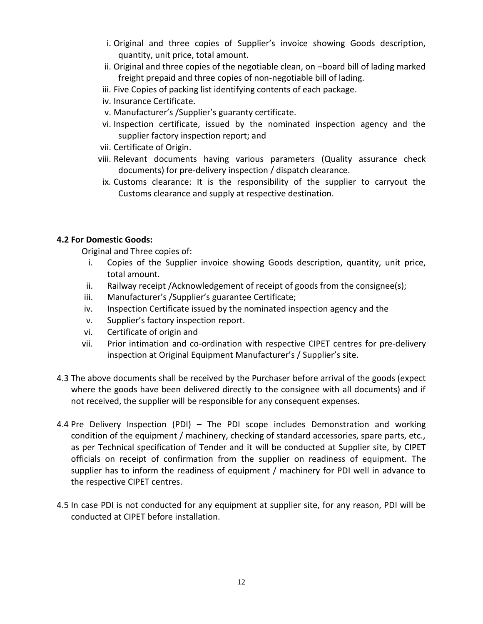- i. Original and three copies of Supplier's invoice showing Goods description, quantity, unit price, total amount.
- ii. Original and three copies of the negotiable clean, on –board bill of lading marked freight prepaid and three copies of non-negotiable bill of lading.
- iii. Five Copies of packing list identifying contents of each package.
- iv. Insurance Certificate.
- v. Manufacturer's /Supplier's guaranty certificate.
- vi. Inspection certificate, issued by the nominated inspection agency and the supplier factory inspection report; and
- vii. Certificate of Origin.
- viii. Relevant documents having various parameters (Quality assurance check documents) for pre-delivery inspection / dispatch clearance.
- ix. Customs clearance: It is the responsibility of the supplier to carryout the Customs clearance and supply at respective destination.

# **4.2 For Domestic Goods:**

Original and Three copies of:

- i. Copies of the Supplier invoice showing Goods description, quantity, unit price, total amount.
- ii. Railway receipt /Acknowledgement of receipt of goods from the consignee(s);
- iii. Manufacturer's /Supplier's guarantee Certificate;
- iv. Inspection Certificate issued by the nominated inspection agency and the
- v. Supplier's factory inspection report.
- vi. Certificate of origin and
- vii. Prior intimation and co-ordination with respective CIPET centres for pre-delivery inspection at Original Equipment Manufacturer's / Supplier's site.
- 4.3 The above documents shall be received by the Purchaser before arrival of the goods (expect where the goods have been delivered directly to the consignee with all documents) and if not received, the supplier will be responsible for any consequent expenses.
- 4.4 Pre Delivery Inspection (PDI) The PDI scope includes Demonstration and working condition of the equipment / machinery, checking of standard accessories, spare parts, etc., as per Technical specification of Tender and it will be conducted at Supplier site, by CIPET officials on receipt of confirmation from the supplier on readiness of equipment. The supplier has to inform the readiness of equipment / machinery for PDI well in advance to the respective CIPET centres.
- 4.5 In case PDI is not conducted for any equipment at supplier site, for any reason, PDI will be conducted at CIPET before installation.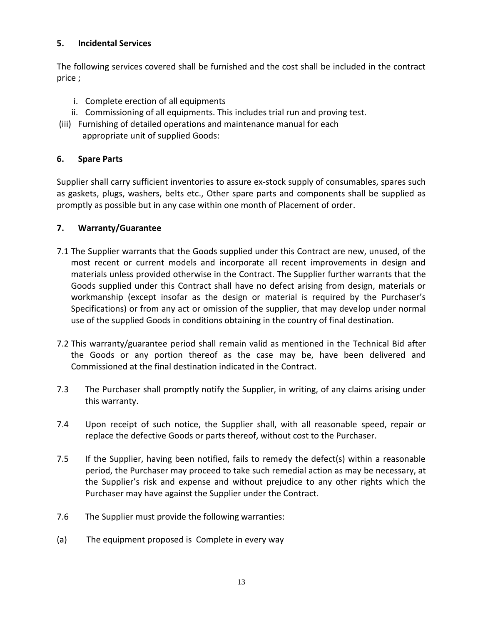# **5. Incidental Services**

The following services covered shall be furnished and the cost shall be included in the contract price ;

- i. Complete erection of all equipments
- ii. Commissioning of all equipments. This includes trial run and proving test.
- (iii) Furnishing of detailed operations and maintenance manual for each
	- appropriate unit of supplied Goods:

# **6. Spare Parts**

Supplier shall carry sufficient inventories to assure ex-stock supply of consumables, spares such as gaskets, plugs, washers, belts etc., Other spare parts and components shall be supplied as promptly as possible but in any case within one month of Placement of order.

# **7. Warranty/Guarantee**

- 7.1 The Supplier warrants that the Goods supplied under this Contract are new, unused, of the most recent or current models and incorporate all recent improvements in design and materials unless provided otherwise in the Contract. The Supplier further warrants that the Goods supplied under this Contract shall have no defect arising from design, materials or workmanship (except insofar as the design or material is required by the Purchaser's Specifications) or from any act or omission of the supplier, that may develop under normal use of the supplied Goods in conditions obtaining in the country of final destination.
- 7.2 This warranty/guarantee period shall remain valid as mentioned in the Technical Bid after the Goods or any portion thereof as the case may be, have been delivered and Commissioned at the final destination indicated in the Contract.
- 7.3 The Purchaser shall promptly notify the Supplier, in writing, of any claims arising under this warranty.
- 7.4 Upon receipt of such notice, the Supplier shall, with all reasonable speed, repair or replace the defective Goods or parts thereof, without cost to the Purchaser.
- 7.5 If the Supplier, having been notified, fails to remedy the defect(s) within a reasonable period, the Purchaser may proceed to take such remedial action as may be necessary, at the Supplier's risk and expense and without prejudice to any other rights which the Purchaser may have against the Supplier under the Contract.
- 7.6 The Supplier must provide the following warranties:
- (a) The equipment proposed is Complete in every way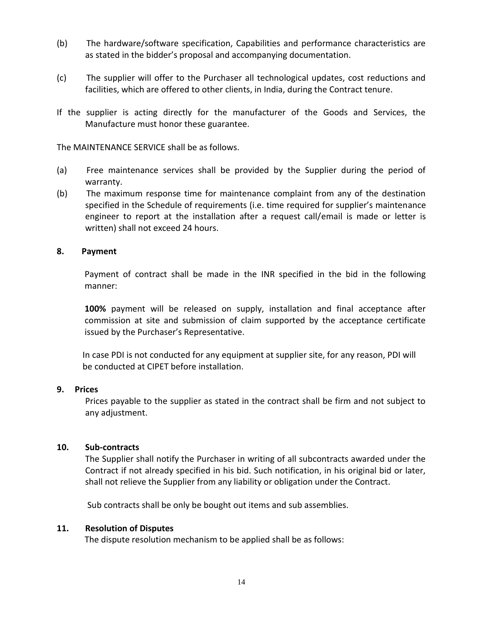- (b) The hardware/software specification, Capabilities and performance characteristics are as stated in the bidder's proposal and accompanying documentation.
- (c) The supplier will offer to the Purchaser all technological updates, cost reductions and facilities, which are offered to other clients, in India, during the Contract tenure.
- If the supplier is acting directly for the manufacturer of the Goods and Services, the Manufacture must honor these guarantee.

The MAINTENANCE SERVICE shall be as follows.

- (a) Free maintenance services shall be provided by the Supplier during the period of warranty.
- (b) The maximum response time for maintenance complaint from any of the destination specified in the Schedule of requirements (i.e. time required for supplier's maintenance engineer to report at the installation after a request call/email is made or letter is written) shall not exceed 24 hours.

#### **8. Payment**

Payment of contract shall be made in the INR specified in the bid in the following manner:

**100%** payment will be released on supply, installation and final acceptance after commission at site and submission of claim supported by the acceptance certificate issued by the Purchaser's Representative.

In case PDI is not conducted for any equipment at supplier site, for any reason, PDI will be conducted at CIPET before installation.

#### **9. Prices**

Prices payable to the supplier as stated in the contract shall be firm and not subject to any adjustment.

#### **10. Sub-contracts**

The Supplier shall notify the Purchaser in writing of all subcontracts awarded under the Contract if not already specified in his bid. Such notification, in his original bid or later, shall not relieve the Supplier from any liability or obligation under the Contract.

Sub contracts shall be only be bought out items and sub assemblies.

### **11. Resolution of Disputes**

The dispute resolution mechanism to be applied shall be as follows: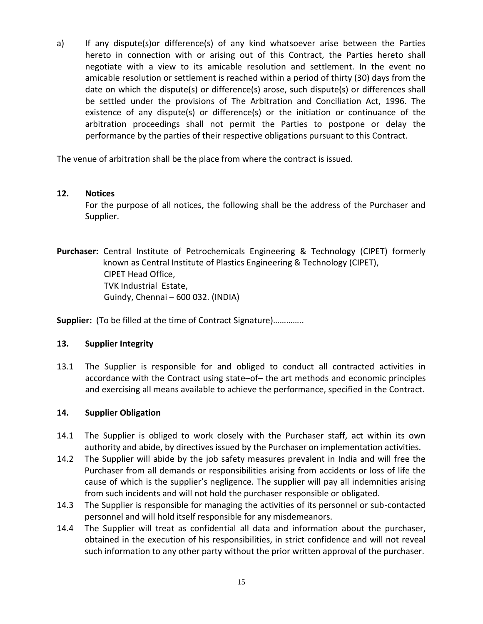a) If any dispute(s)or difference(s) of any kind whatsoever arise between the Parties hereto in connection with or arising out of this Contract, the Parties hereto shall negotiate with a view to its amicable resolution and settlement. In the event no amicable resolution or settlement is reached within a period of thirty (30) days from the date on which the dispute(s) or difference(s) arose, such dispute(s) or differences shall be settled under the provisions of The Arbitration and Conciliation Act, 1996. The existence of any dispute(s) or difference(s) or the initiation or continuance of the arbitration proceedings shall not permit the Parties to postpone or delay the performance by the parties of their respective obligations pursuant to this Contract.

The venue of arbitration shall be the place from where the contract is issued.

## **12. Notices**

For the purpose of all notices, the following shall be the address of the Purchaser and Supplier.

**Purchaser:** Central Institute of Petrochemicals Engineering & Technology (CIPET) formerly known as Central Institute of Plastics Engineering & Technology (CIPET), CIPET Head Office, TVK Industrial Estate, Guindy, Chennai – 600 032. (INDIA)

**Supplier:** (To be filled at the time of Contract Signature)…………..

### **13. Supplier Integrity**

13.1 The Supplier is responsible for and obliged to conduct all contracted activities in accordance with the Contract using state–of– the art methods and economic principles and exercising all means available to achieve the performance, specified in the Contract.

# **14. Supplier Obligation**

- 14.1 The Supplier is obliged to work closely with the Purchaser staff, act within its own authority and abide, by directives issued by the Purchaser on implementation activities.
- 14.2 The Supplier will abide by the job safety measures prevalent in India and will free the Purchaser from all demands or responsibilities arising from accidents or loss of life the cause of which is the supplier's negligence. The supplier will pay all indemnities arising from such incidents and will not hold the purchaser responsible or obligated.
- 14.3 The Supplier is responsible for managing the activities of its personnel or sub-contacted personnel and will hold itself responsible for any misdemeanors.
- 14.4 The Supplier will treat as confidential all data and information about the purchaser, obtained in the execution of his responsibilities, in strict confidence and will not reveal such information to any other party without the prior written approval of the purchaser.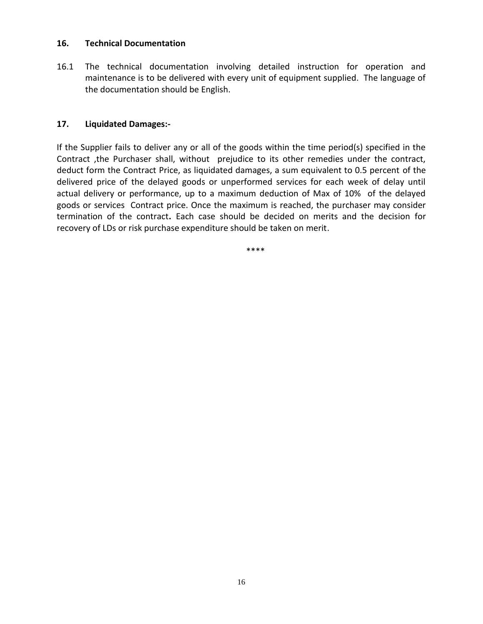### **16. Technical Documentation**

16.1 The technical documentation involving detailed instruction for operation and maintenance is to be delivered with every unit of equipment supplied. The language of the documentation should be English.

# **17. Liquidated Damages:-**

If the Supplier fails to deliver any or all of the goods within the time period(s) specified in the Contract ,the Purchaser shall, without prejudice to its other remedies under the contract, deduct form the Contract Price, as liquidated damages, a sum equivalent to 0.5 percent of the delivered price of the delayed goods or unperformed services for each week of delay until actual delivery or performance, up to a maximum deduction of Max of 10% of the delayed goods or services Contract price. Once the maximum is reached, the purchaser may consider termination of the contract**.** Each case should be decided on merits and the decision for recovery of LDs or risk purchase expenditure should be taken on merit.

\*\*\*\*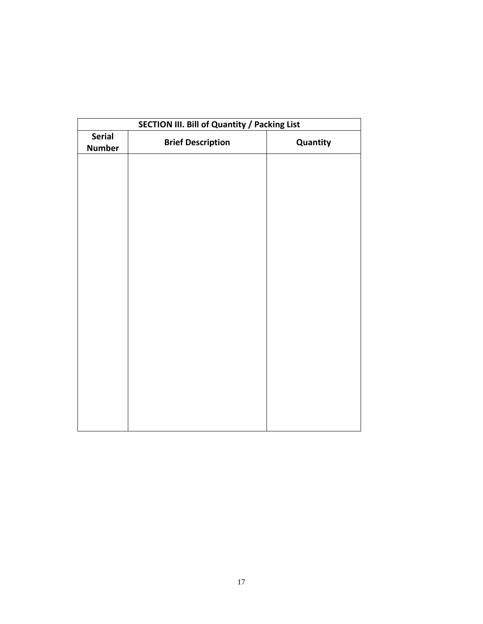| SECTION III. Bill of Quantity / Packing List |                          |          |  |  |  |  |
|----------------------------------------------|--------------------------|----------|--|--|--|--|
| <b>Serial</b><br><b>Number</b>               | <b>Brief Description</b> | Quantity |  |  |  |  |
|                                              |                          |          |  |  |  |  |
|                                              |                          |          |  |  |  |  |
|                                              |                          |          |  |  |  |  |
|                                              |                          |          |  |  |  |  |
|                                              |                          |          |  |  |  |  |
|                                              |                          |          |  |  |  |  |
|                                              |                          |          |  |  |  |  |
|                                              |                          |          |  |  |  |  |
|                                              |                          |          |  |  |  |  |
|                                              |                          |          |  |  |  |  |
|                                              |                          |          |  |  |  |  |
|                                              |                          |          |  |  |  |  |
|                                              |                          |          |  |  |  |  |
|                                              |                          |          |  |  |  |  |
|                                              |                          |          |  |  |  |  |
|                                              |                          |          |  |  |  |  |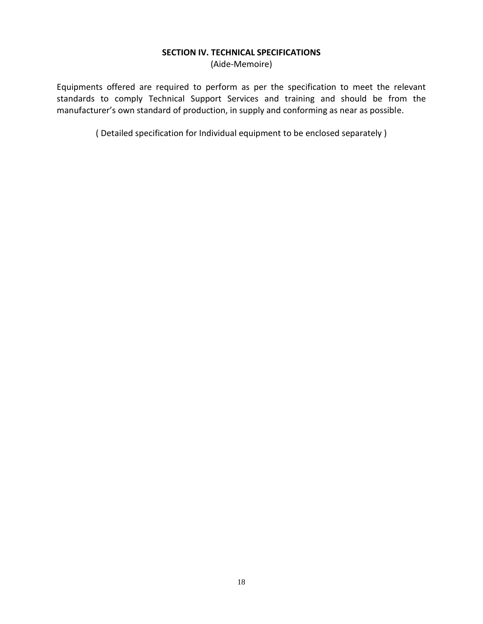#### **SECTION IV. TECHNICAL SPECIFICATIONS**

(Aide-Memoire)

Equipments offered are required to perform as per the specification to meet the relevant standards to comply Technical Support Services and training and should be from the manufacturer's own standard of production, in supply and conforming as near as possible.

( Detailed specification for Individual equipment to be enclosed separately )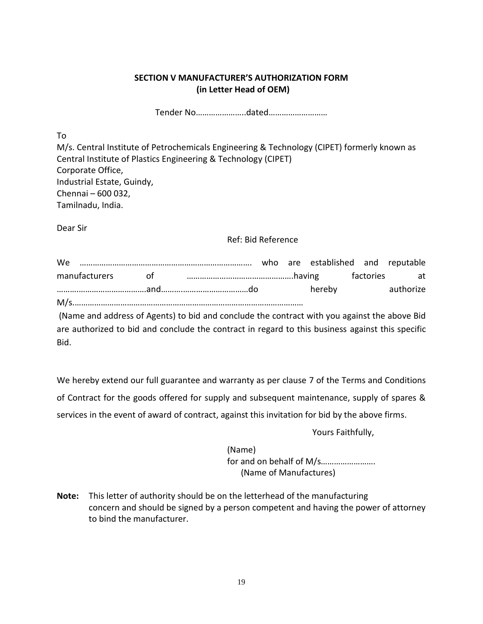# **SECTION V MANUFACTURER'S AUTHORIZATION FORM (in Letter Head of OEM)**

Tender No…………………..dated………………………

To

M/s. Central Institute of Petrochemicals Engineering & Technology (CIPET) formerly known as Central Institute of Plastics Engineering & Technology (CIPET) Corporate Office, Industrial Estate, Guindy, Chennai – 600 032, Tamilnadu, India.

Dear Sir

## Ref: Bid Reference

| We |  |  |        |           |
|----|--|--|--------|-----------|
|    |  |  |        |           |
|    |  |  | hereby | authorize |
|    |  |  |        |           |

(Name and address of Agents) to bid and conclude the contract with you against the above Bid are authorized to bid and conclude the contract in regard to this business against this specific Bid.

We hereby extend our full guarantee and warranty as per clause 7 of the Terms and Conditions of Contract for the goods offered for supply and subsequent maintenance, supply of spares & services in the event of award of contract, against this invitation for bid by the above firms.

Yours Faithfully,

(Name) for and on behalf of M/s……………………. (Name of Manufactures)

**Note:** This letter of authority should be on the letterhead of the manufacturing concern and should be signed by a person competent and having the power of attorney to bind the manufacturer.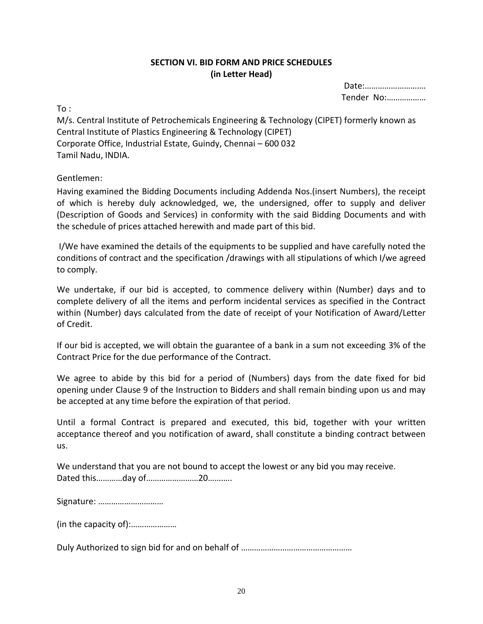# **SECTION VI. BID FORM AND PRICE SCHEDULES (in Letter Head)**

Date:………………………. Tender No:………………

 $To:$ 

M/s. Central Institute of Petrochemicals Engineering & Technology (CIPET) formerly known as Central Institute of Plastics Engineering & Technology (CIPET) Corporate Office, Industrial Estate, Guindy, Chennai – 600 032 Tamil Nadu, INDIA.

# Gentlemen:

Having examined the Bidding Documents including Addenda Nos.(insert Numbers), the receipt of which is hereby duly acknowledged, we, the undersigned, offer to supply and deliver (Description of Goods and Services) in conformity with the said Bidding Documents and with the schedule of prices attached herewith and made part of this bid.

I/We have examined the details of the equipments to be supplied and have carefully noted the conditions of contract and the specification /drawings with all stipulations of which I/we agreed to comply.

We undertake, if our bid is accepted, to commence delivery within (Number) days and to complete delivery of all the items and perform incidental services as specified in the Contract within (Number) days calculated from the date of receipt of your Notification of Award/Letter of Credit.

If our bid is accepted, we will obtain the guarantee of a bank in a sum not exceeding 3% of the Contract Price for the due performance of the Contract.

We agree to abide by this bid for a period of (Numbers) days from the date fixed for bid opening under Clause 9 of the Instruction to Bidders and shall remain binding upon us and may be accepted at any time before the expiration of that period.

Until a formal Contract is prepared and executed, this bid, together with your written acceptance thereof and you notification of award, shall constitute a binding contract between us.

We understand that you are not bound to accept the lowest or any bid you may receive. Dated this…………day of……………………20…….….

|  | Signature: |
|--|------------|
|--|------------|

(in the capacity of):…………………

Duly Authorized to sign bid for and on behalf of ……………………………………………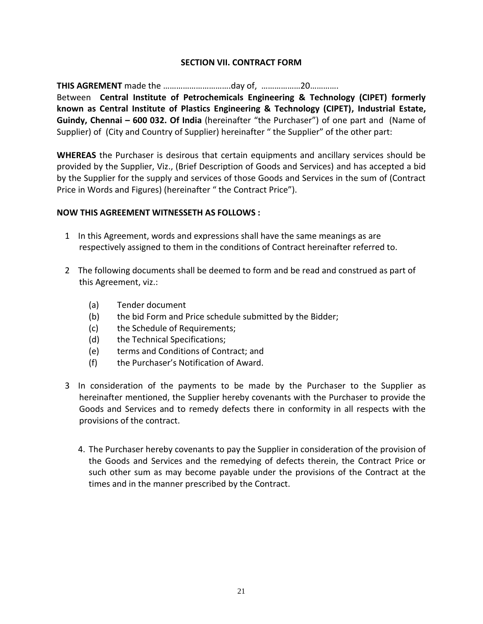# **SECTION VII. CONTRACT FORM**

**THIS AGREMENT** made the ………………………….day of, ………………20………….

Between **Central Institute of Petrochemicals Engineering & Technology (CIPET) formerly known as Central Institute of Plastics Engineering & Technology (CIPET), Industrial Estate, Guindy, Chennai – 600 032. Of India** (hereinafter "the Purchaser") of one part and (Name of Supplier) of (City and Country of Supplier) hereinafter " the Supplier" of the other part:

**WHEREAS** the Purchaser is desirous that certain equipments and ancillary services should be provided by the Supplier, Viz., (Brief Description of Goods and Services) and has accepted a bid by the Supplier for the supply and services of those Goods and Services in the sum of (Contract Price in Words and Figures) (hereinafter " the Contract Price").

#### **NOW THIS AGREEMENT WITNESSETH AS FOLLOWS :**

- 1 In this Agreement, words and expressions shall have the same meanings as are respectively assigned to them in the conditions of Contract hereinafter referred to.
- 2 The following documents shall be deemed to form and be read and construed as part of this Agreement, viz.:
	- (a) Tender document
	- (b) the bid Form and Price schedule submitted by the Bidder;
	- (c) the Schedule of Requirements;
	- (d) the Technical Specifications;
	- (e) terms and Conditions of Contract; and
	- (f) the Purchaser's Notification of Award.
- 3 In consideration of the payments to be made by the Purchaser to the Supplier as hereinafter mentioned, the Supplier hereby covenants with the Purchaser to provide the Goods and Services and to remedy defects there in conformity in all respects with the provisions of the contract.
	- 4. The Purchaser hereby covenants to pay the Supplier in consideration of the provision of the Goods and Services and the remedying of defects therein, the Contract Price or such other sum as may become payable under the provisions of the Contract at the times and in the manner prescribed by the Contract.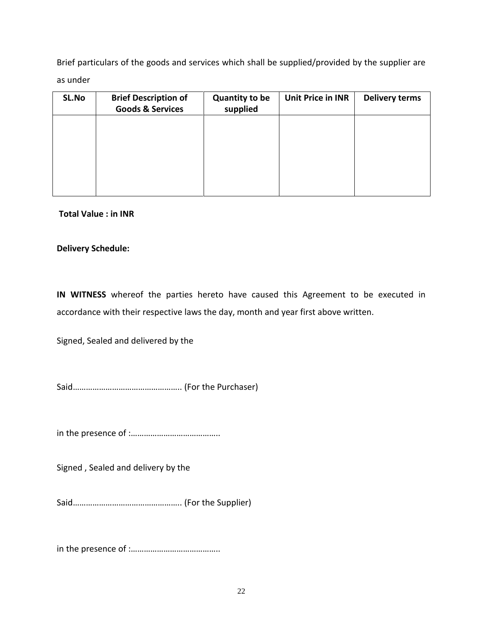Brief particulars of the goods and services which shall be supplied/provided by the supplier are as under

| SL.No | <b>Brief Description of</b><br><b>Goods &amp; Services</b> | <b>Quantity to be</b><br>supplied | <b>Unit Price in INR</b> | <b>Delivery terms</b> |
|-------|------------------------------------------------------------|-----------------------------------|--------------------------|-----------------------|
|       |                                                            |                                   |                          |                       |
|       |                                                            |                                   |                          |                       |
|       |                                                            |                                   |                          |                       |
|       |                                                            |                                   |                          |                       |

## **Total Value : in INR**

## **Delivery Schedule:**

**IN WITNESS** whereof the parties hereto have caused this Agreement to be executed in accordance with their respective laws the day, month and year first above written.

Signed, Sealed and delivered by the

Said………………………………………….. (For the Purchaser)

in the presence of :…………………………………..

Signed , Sealed and delivery by the

Said………………………………………….. (For the Supplier)

in the presence of :…………………………………..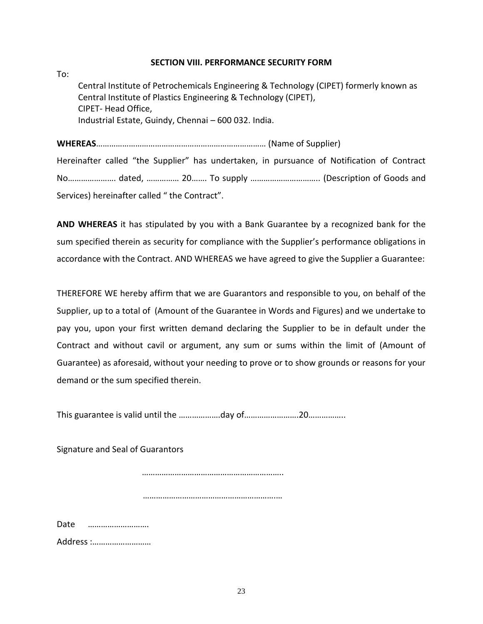### **SECTION VIII. PERFORMANCE SECURITY FORM**

To: Central Institute of Petrochemicals Engineering & Technology (CIPET) formerly known as Central Institute of Plastics Engineering & Technology (CIPET), CIPET- Head Office, Industrial Estate, Guindy, Chennai – 600 032. India.

**WHEREAS**…………………………………………………………………… (Name of Supplier)

Hereinafter called "the Supplier" has undertaken, in pursuance of Notification of Contract No…………………. dated, …………… 20……. To supply ………………………….. (Description of Goods and Services) hereinafter called " the Contract".

**AND WHEREAS** it has stipulated by you with a Bank Guarantee by a recognized bank for the sum specified therein as security for compliance with the Supplier's performance obligations in accordance with the Contract. AND WHEREAS we have agreed to give the Supplier a Guarantee:

THEREFORE WE hereby affirm that we are Guarantors and responsible to you, on behalf of the Supplier, up to a total of (Amount of the Guarantee in Words and Figures) and we undertake to pay you, upon your first written demand declaring the Supplier to be in default under the Contract and without cavil or argument, any sum or sums within the limit of (Amount of Guarantee) as aforesaid, without your needing to prove or to show grounds or reasons for your demand or the sum specified therein.

This guarantee is valid until the ……………….day of…………………….20……………..

Signature and Seal of Guarantors

………………………………………………………..

…………………………………………………….…

Date ………………………. Address :………………………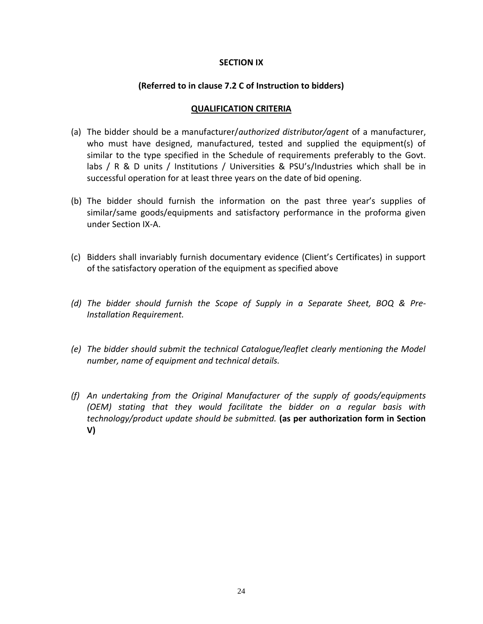#### **SECTION IX**

### **(Referred to in clause 7.2 C of Instruction to bidders)**

#### **QUALIFICATION CRITERIA**

- (a) The bidder should be a manufacturer/*authorized distributor/agent* of a manufacturer, who must have designed, manufactured, tested and supplied the equipment(s) of similar to the type specified in the Schedule of requirements preferably to the Govt. labs / R & D units / Institutions / Universities & PSU's/Industries which shall be in successful operation for at least three years on the date of bid opening.
- (b) The bidder should furnish the information on the past three year's supplies of similar/same goods/equipments and satisfactory performance in the proforma given under Section IX-A.
- (c) Bidders shall invariably furnish documentary evidence (Client's Certificates) in support of the satisfactory operation of the equipment as specified above
- *(d) The bidder should furnish the Scope of Supply in a Separate Sheet, BOQ & Pre-Installation Requirement.*
- *(e) The bidder should submit the technical Catalogue/leaflet clearly mentioning the Model number, name of equipment and technical details.*
- *(f) An undertaking from the Original Manufacturer of the supply of goods/equipments (OEM) stating that they would facilitate the bidder on a regular basis with technology/product update should be submitted.* **(as per authorization form in Section V)**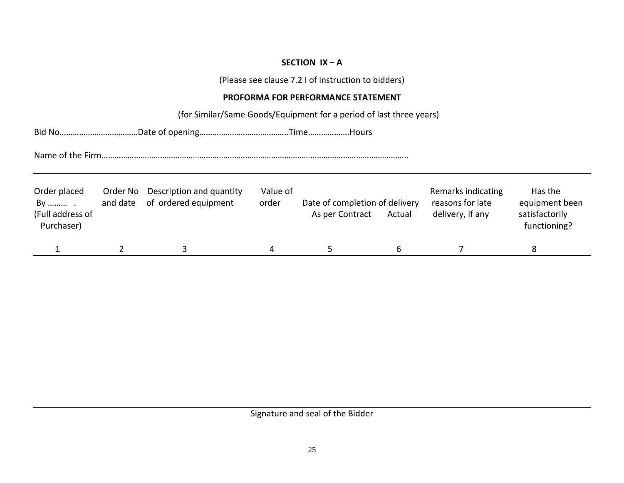# **SECTION IX – A**

(Please see clause 7.2 I of instruction to bidders)

# **PROFORMA FOR PERFORMANCE STATEMENT**

(for Similar/Same Goods/Equipment for a period of last three years)

Bid No………………………………Date of opening…………………………………..Time……………….Hours

Name of the Firm…………………………………………………………………………………………………………………………...

| Order placed<br>By<br>(Full address of<br>Purchaser) | Order No<br>and date | Description and quantity<br>of ordered equipment | Value of<br>order | Date of completion of delivery<br>As per Contract | Actual | Remarks indicating<br>reasons for late<br>delivery, if any | Has the<br>equipment been<br>satisfactorily<br>functioning? |
|------------------------------------------------------|----------------------|--------------------------------------------------|-------------------|---------------------------------------------------|--------|------------------------------------------------------------|-------------------------------------------------------------|
|                                                      |                      |                                                  |                   |                                                   |        |                                                            |                                                             |

Signature and seal of the Bidder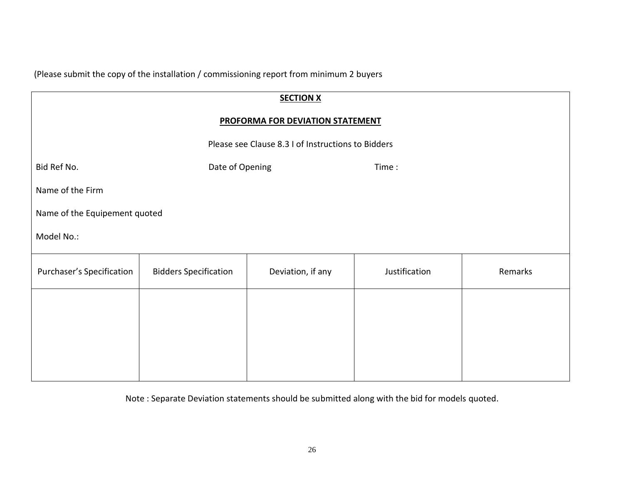(Please submit the copy of the installation / commissioning report from minimum 2 buyers

| <b>SECTION X</b>                 |                                                    |                   |               |         |  |  |  |  |
|----------------------------------|----------------------------------------------------|-------------------|---------------|---------|--|--|--|--|
| PROFORMA FOR DEVIATION STATEMENT |                                                    |                   |               |         |  |  |  |  |
|                                  | Please see Clause 8.3 I of Instructions to Bidders |                   |               |         |  |  |  |  |
| Bid Ref No.                      | Date of Opening                                    |                   | Time:         |         |  |  |  |  |
| Name of the Firm                 |                                                    |                   |               |         |  |  |  |  |
| Name of the Equipement quoted    |                                                    |                   |               |         |  |  |  |  |
| Model No.:                       |                                                    |                   |               |         |  |  |  |  |
| Purchaser's Specification        | <b>Bidders Specification</b>                       | Deviation, if any | Justification | Remarks |  |  |  |  |
|                                  |                                                    |                   |               |         |  |  |  |  |
|                                  |                                                    |                   |               |         |  |  |  |  |
|                                  |                                                    |                   |               |         |  |  |  |  |
|                                  |                                                    |                   |               |         |  |  |  |  |

Note : Separate Deviation statements should be submitted along with the bid for models quoted.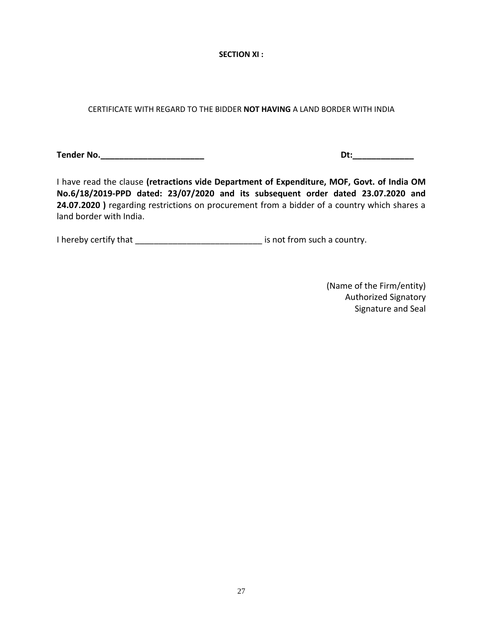**SECTION XI :** 

CERTIFICATE WITH REGARD TO THE BIDDER **NOT HAVING** A LAND BORDER WITH INDIA

**Tender No.\_\_\_\_\_\_\_\_\_\_\_\_\_\_\_\_\_\_\_\_\_\_ Dt:\_\_\_\_\_\_\_\_\_\_\_\_\_**

I have read the clause **(retractions vide Department of Expenditure, MOF, Govt. of India OM No.6/18/2019-PPD dated: 23/07/2020 and its subsequent order dated 23.07.2020 and 24.07.2020 )** regarding restrictions on procurement from a bidder of a country which shares a land border with India.

I hereby certify that \_\_\_\_\_\_\_\_\_\_\_\_\_\_\_\_\_\_\_\_\_\_\_\_\_\_\_ is not from such a country.

(Name of the Firm/entity) Authorized Signatory Signature and Seal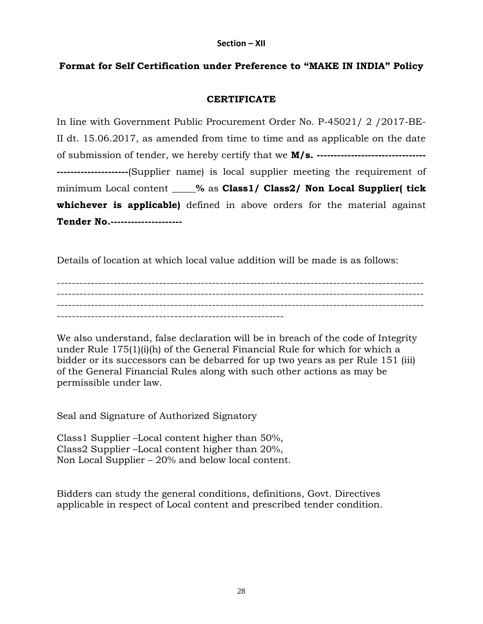# **Format for Self Certification under Preference to "MAKE IN INDIA" Policy**

### **CERTIFICATE**

In line with Government Public Procurement Order No. P-45021/ 2 /2017-BE-II dt. 15.06.2017, as amended from time to time and as applicable on the date of submission of tender, we hereby certify that we **M/s. -------------------------------- ---------------------**(Supplier name) is local supplier meeting the requirement of minimum Local content **\_\_\_\_\_%** as **Class1/ Class2/ Non Local Supplier( tick whichever is applicable)** defined in above orders for the material against **Tender No.---------------------**

Details of location at which local value addition will be made is as follows:

------------------------------------------------------------------------------------------------- ------------------------------------------------------------------------------------------------- ------------------------------------------------------------------------------------------------- ------------------------------------------------------------

We also understand, false declaration will be in breach of the code of Integrity under Rule 175(1)(i)(h) of the General Financial Rule for which for which a bidder or its successors can be debarred for up two years as per Rule 151 (iii) of the General Financial Rules along with such other actions as may be permissible under law.

Seal and Signature of Authorized Signatory

Class1 Supplier –Local content higher than 50%, Class2 Supplier –Local content higher than 20%, Non Local Supplier – 20% and below local content.

Bidders can study the general conditions, definitions, Govt. Directives applicable in respect of Local content and prescribed tender condition.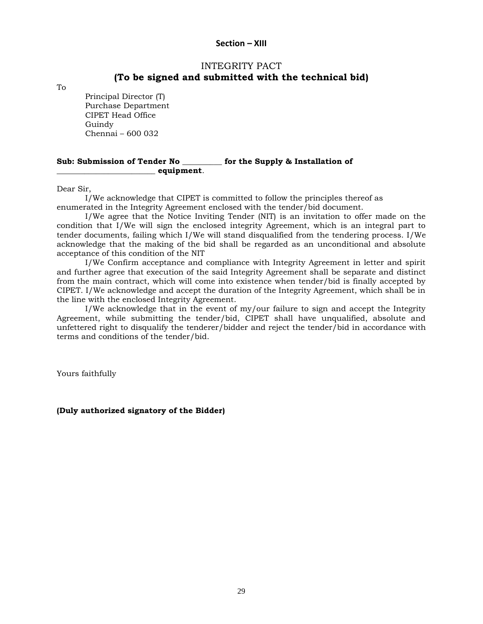#### **Section – XIII**

#### INTEGRITY PACT **(To be signed and submitted with the technical bid)**

To

Principal Director (T) Purchase Department CIPET Head Office Guindy Chennai – 600 032

#### **Sub: Submission of Tender No \_\_\_\_\_\_\_\_\_\_ for the Supply & Installation of \_\_\_\_\_\_\_\_\_\_\_\_\_\_\_\_\_\_\_\_\_\_\_\_\_ equipment**.

Dear Sir,

I/We acknowledge that CIPET is committed to follow the principles thereof as enumerated in the Integrity Agreement enclosed with the tender/bid document.

I/We agree that the Notice Inviting Tender (NIT) is an invitation to offer made on the condition that I/We will sign the enclosed integrity Agreement, which is an integral part to tender documents, failing which I/We will stand disqualified from the tendering process. I/We acknowledge that the making of the bid shall be regarded as an unconditional and absolute acceptance of this condition of the NIT

I/We Confirm acceptance and compliance with Integrity Agreement in letter and spirit and further agree that execution of the said Integrity Agreement shall be separate and distinct from the main contract, which will come into existence when tender/bid is finally accepted by CIPET. I/We acknowledge and accept the duration of the Integrity Agreement, which shall be in the line with the enclosed Integrity Agreement.

I/We acknowledge that in the event of my/our failure to sign and accept the Integrity Agreement, while submitting the tender/bid, CIPET shall have unqualified, absolute and unfettered right to disqualify the tenderer/bidder and reject the tender/bid in accordance with terms and conditions of the tender/bid.

Yours faithfully

**(Duly authorized signatory of the Bidder)**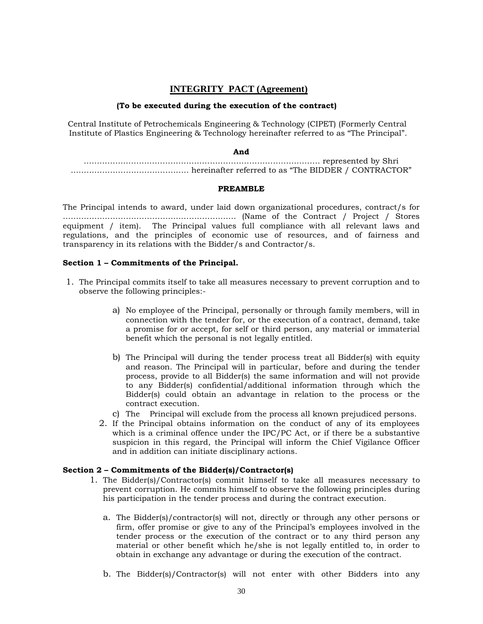#### **INTEGRITY PACT (Agreement)**

#### **(To be executed during the execution of the contract)**

Central Institute of Petrochemicals Engineering & Technology (CIPET) (Formerly Central Institute of Plastics Engineering & Technology hereinafter referred to as "The Principal".

#### **And**

……………………………………………………………………………… represented by Shri ……………………………………… hereinafter referred to as "The BIDDER / CONTRACTOR"

#### **PREAMBLE**

The Principal intends to award, under laid down organizational procedures, contract/s for ………………………………………………………… (Name of the Contract / Project / Stores equipment / item). The Principal values full compliance with all relevant laws and regulations, and the principles of economic use of resources, and of fairness and transparency in its relations with the Bidder/s and Contractor/s.

#### **Section 1 – Commitments of the Principal.**

- 1. The Principal commits itself to take all measures necessary to prevent corruption and to observe the following principles:
	- a) No employee of the Principal, personally or through family members, will in connection with the tender for, or the execution of a contract, demand, take a promise for or accept, for self or third person, any material or immaterial benefit which the personal is not legally entitled.
	- b) The Principal will during the tender process treat all Bidder(s) with equity and reason. The Principal will in particular, before and during the tender process, provide to all Bidder(s) the same information and will not provide to any Bidder(s) confidential/additional information through which the Bidder(s) could obtain an advantage in relation to the process or the contract execution.
	- c) The Principal will exclude from the process all known prejudiced persons.
	- 2. If the Principal obtains information on the conduct of any of its employees which is a criminal offence under the IPC/PC Act, or if there be a substantive suspicion in this regard, the Principal will inform the Chief Vigilance Officer and in addition can initiate disciplinary actions.

#### **Section 2 – Commitments of the Bidder(s)/Contractor(s)**

- 1. The Bidder(s)/Contractor(s) commit himself to take all measures necessary to prevent corruption. He commits himself to observe the following principles during his participation in the tender process and during the contract execution.
	- a. The Bidder(s)/contractor(s) will not, directly or through any other persons or firm, offer promise or give to any of the Principal's employees involved in the tender process or the execution of the contract or to any third person any material or other benefit which he/she is not legally entitled to, in order to obtain in exchange any advantage or during the execution of the contract.
	- b. The Bidder(s)/Contractor(s) will not enter with other Bidders into any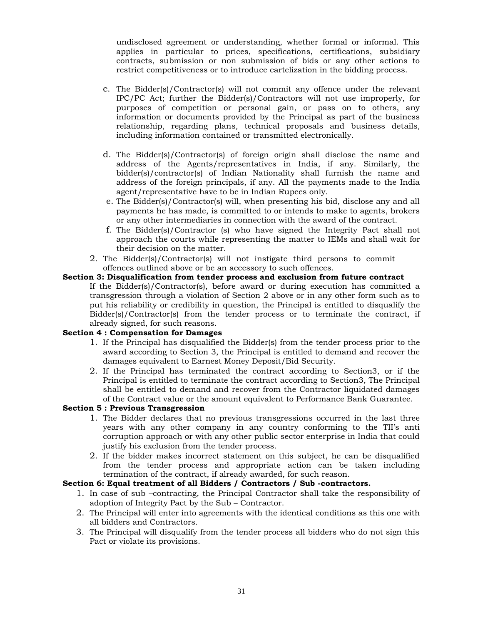undisclosed agreement or understanding, whether formal or informal. This applies in particular to prices, specifications, certifications, subsidiary contracts, submission or non submission of bids or any other actions to restrict competitiveness or to introduce cartelization in the bidding process.

- c. The Bidder(s)/Contractor(s) will not commit any offence under the relevant IPC/PC Act; further the Bidder(s)/Contractors will not use improperly, for purposes of competition or personal gain, or pass on to others, any information or documents provided by the Principal as part of the business relationship, regarding plans, technical proposals and business details, including information contained or transmitted electronically.
- d. The Bidder(s)/Contractor(s) of foreign origin shall disclose the name and address of the Agents/representatives in India, if any. Similarly, the bidder(s)/contractor(s) of Indian Nationality shall furnish the name and address of the foreign principals, if any. All the payments made to the India agent/representative have to be in Indian Rupees only.
- e. The Bidder(s)/Contractor(s) will, when presenting his bid, disclose any and all payments he has made, is committed to or intends to make to agents, brokers or any other intermediaries in connection with the award of the contract.
- f. The Bidder(s)/Contractor (s) who have signed the Integrity Pact shall not approach the courts while representing the matter to IEMs and shall wait for their decision on the matter.
- 2. The Bidder(s)/Contractor(s) will not instigate third persons to commit offences outlined above or be an accessory to such offences.

#### **Section 3: Disqualification from tender process and exclusion from future contract**

If the Bidder(s)/Contractor(s), before award or during execution has committed a transgression through a violation of Section 2 above or in any other form such as to put his reliability or credibility in question, the Principal is entitled to disqualify the Bidder(s)/Contractor(s) from the tender process or to terminate the contract, if already signed, for such reasons.

#### **Section 4 : Compensation for Damages**

- 1. If the Principal has disqualified the Bidder(s) from the tender process prior to the award according to Section 3, the Principal is entitled to demand and recover the damages equivalent to Earnest Money Deposit/Bid Security.
- 2. If the Principal has terminated the contract according to Section3, or if the Principal is entitled to terminate the contract according to Section3, The Principal shall be entitled to demand and recover from the Contractor liquidated damages of the Contract value or the amount equivalent to Performance Bank Guarantee.

#### **Section 5 : Previous Transgression**

- 1. The Bidder declares that no previous transgressions occurred in the last three years with any other company in any country conforming to the TII's anti corruption approach or with any other public sector enterprise in India that could justify his exclusion from the tender process.
- 2. If the bidder makes incorrect statement on this subject, he can be disqualified from the tender process and appropriate action can be taken including termination of the contract, if already awarded, for such reason.

#### **Section 6: Equal treatment of all Bidders / Contractors / Sub -contractors.**

- 1. In case of sub –contracting, the Principal Contractor shall take the responsibility of adoption of Integrity Pact by the Sub – Contractor.
- 2. The Principal will enter into agreements with the identical conditions as this one with all bidders and Contractors.
- 3. The Principal will disqualify from the tender process all bidders who do not sign this Pact or violate its provisions.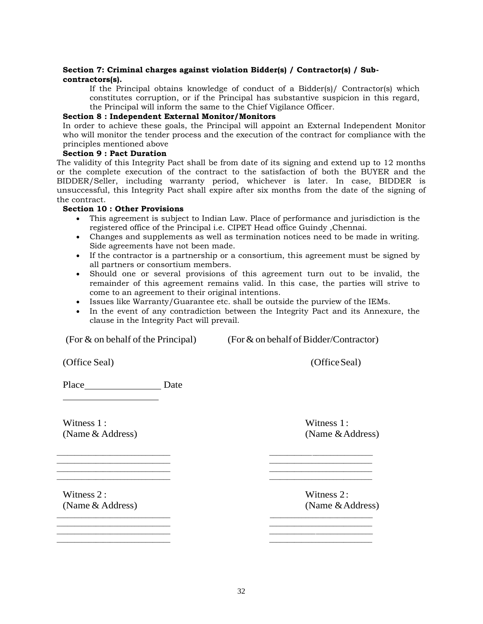#### **Section 7: Criminal charges against violation Bidder(s) / Contractor(s) / Subcontractors(s).**

If the Principal obtains knowledge of conduct of a Bidder(s)/ Contractor(s) which constitutes corruption, or if the Principal has substantive suspicion in this regard, the Principal will inform the same to the Chief Vigilance Officer.

#### **Section 8 : Independent External Monitor/Monitors**

In order to achieve these goals, the Principal will appoint an External Independent Monitor who will monitor the tender process and the execution of the contract for compliance with the principles mentioned above

#### **Section 9 : Pact Duration**

The validity of this Integrity Pact shall be from date of its signing and extend up to 12 months or the complete execution of the contract to the satisfaction of both the BUYER and the BIDDER/Seller, including warranty period, whichever is later. In case, BIDDER is unsuccessful, this Integrity Pact shall expire after six months from the date of the signing of the contract.

#### **Section 10 : Other Provisions**

- This agreement is subject to Indian Law. Place of performance and jurisdiction is the registered office of the Principal i.e. CIPET Head office Guindy ,Chennai.
- Changes and supplements as well as termination notices need to be made in writing. Side agreements have not been made.
- If the contractor is a partnership or a consortium, this agreement must be signed by all partners or consortium members.
- Should one or several provisions of this agreement turn out to be invalid, the remainder of this agreement remains valid. In this case, the parties will strive to come to an agreement to their original intentions.
- Issues like Warranty/Guarantee etc. shall be outside the purview of the IEMs.

 $\frac{1}{2}$  ,  $\frac{1}{2}$  ,  $\frac{1}{2}$  ,  $\frac{1}{2}$  ,  $\frac{1}{2}$  ,  $\frac{1}{2}$  ,  $\frac{1}{2}$  ,  $\frac{1}{2}$  ,  $\frac{1}{2}$  ,  $\frac{1}{2}$  ,  $\frac{1}{2}$  ,  $\frac{1}{2}$  ,  $\frac{1}{2}$  ,  $\frac{1}{2}$  ,  $\frac{1}{2}$  ,  $\frac{1}{2}$  ,  $\frac{1}{2}$  ,  $\frac{1}{2}$  ,  $\frac{1$  $\overline{\phantom{a}}$  , and the contribution of the contribution of the contribution of the contribution of the contribution of the contribution of the contribution of the contribution of the contribution of the contribution of the  $\overline{\phantom{a}}$  , and the contribution of the contribution of the contribution of the contribution of the contribution of the contribution of the contribution of the contribution of the contribution of the contribution of the  $\Box$ 

 $\overline{\phantom{a}}$  , and the contribution of the contribution of the contribution of the contribution of the contribution of the contribution of the contribution of the contribution of the contribution of the contribution of the  $\overline{\phantom{a}}$  , and the contribution of the contribution of the contribution of the contribution of the contribution of the contribution of the contribution of the contribution of the contribution of the contribution of the

 In the event of any contradiction between the Integrity Pact and its Annexure, the clause in the Integrity Pact will prevail.

(For  $\&$  on behalf of the Principal) (For  $\&$  on behalf of Bidder/Contractor)

(Office Seal) (Office Seal)

Place Date

Witness 1 : Witness 1 : Witness 1 : (Name & Address) (Name & Address)

Witness 2: Witness 2: (Name & Address) (Name & Address)  $\overline{\phantom{a}}$  , and the contribution of the contribution of the contribution of the contribution of the contribution of the contribution of the contribution of the contribution of the contribution of the contribution of the